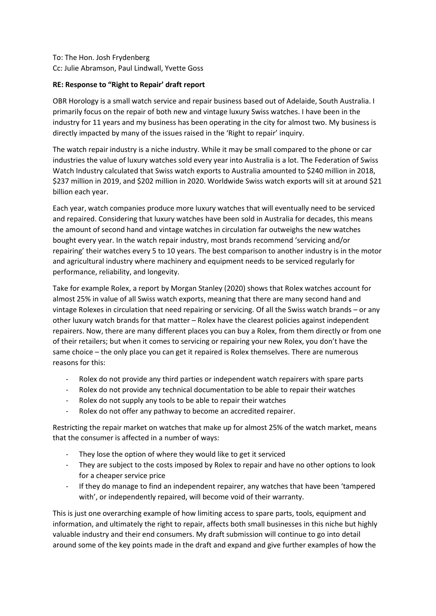# To: The Hon. Josh Frydenberg Cc: Julie Abramson, Paul Lindwall, Yvette Goss

### **RE: Response to "Right to Repair' draft report**

OBR Horology is a small watch service and repair business based out of Adelaide, South Australia. I primarily focus on the repair of both new and vintage luxury Swiss watches. I have been in the industry for 11 years and my business has been operating in the city for almost two. My business is directly impacted by many of the issues raised in the 'Right to repair' inquiry.

The watch repair industry is a niche industry. While it may be small compared to the phone or car industries the value of luxury watches sold every year into Australia is a lot. The Federation of Swiss Watch Industry calculated that Swiss watch exports to Australia amounted to \$240 million in 2018, \$237 million in 2019, and \$202 million in 2020. Worldwide Swiss watch exports will sit at around \$21 billion each year.

Each year, watch companies produce more luxury watches that will eventually need to be serviced and repaired. Considering that luxury watches have been sold in Australia for decades, this means the amount of second hand and vintage watches in circulation far outweighs the new watches bought every year. In the watch repair industry, most brands recommend 'servicing and/or repairing' their watches every 5 to 10 years. The best comparison to another industry is in the motor and agricultural industry where machinery and equipment needs to be serviced regularly for performance, reliability, and longevity.

Take for example Rolex, a report by Morgan Stanley (2020) shows that Rolex watches account for almost 25% in value of all Swiss watch exports, meaning that there are many second hand and vintage Rolexes in circulation that need repairing or servicing. Of all the Swiss watch brands – or any other luxury watch brands for that matter – Rolex have the clearest policies against independent repairers. Now, there are many different places you can buy a Rolex, from them directly or from one of their retailers; but when it comes to servicing or repairing your new Rolex, you don't have the same choice – the only place you can get it repaired is Rolex themselves. There are numerous reasons for this:

- Rolex do not provide any third parties or independent watch repairers with spare parts
- Rolex do not provide any technical documentation to be able to repair their watches
- Rolex do not supply any tools to be able to repair their watches
- Rolex do not offer any pathway to become an accredited repairer.

Restricting the repair market on watches that make up for almost 25% of the watch market, means that the consumer is affected in a number of ways:

- They lose the option of where they would like to get it serviced
- They are subject to the costs imposed by Rolex to repair and have no other options to look for a cheaper service price
- If they do manage to find an independent repairer, any watches that have been 'tampered with', or independently repaired, will become void of their warranty.

This is just one overarching example of how limiting access to spare parts, tools, equipment and information, and ultimately the right to repair, affects both small businesses in this niche but highly valuable industry and their end consumers. My draft submission will continue to go into detail around some of the key points made in the draft and expand and give further examples of how the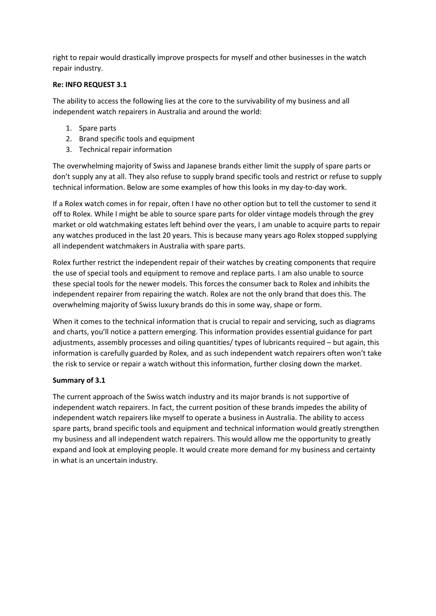right to repair would drastically improve prospects for myself and other businesses in the watch repair industry.

### **Re: INFO REQUEST 3.1**

The ability to access the following lies at the core to the survivability of my business and all independent watch repairers in Australia and around the world:

- 1. Spare parts
- 2. Brand specific tools and equipment
- 3. Technical repair information

The overwhelming majority of Swiss and Japanese brands either limit the supply of spare parts or don't supply any at all. They also refuse to supply brand specific tools and restrict or refuse to supply technical information. Below are some examples of how this looks in my day-to-day work.

If a Rolex watch comes in for repair, often I have no other option but to tell the customer to send it off to Rolex. While I might be able to source spare parts for older vintage models through the grey market or old watchmaking estates left behind over the years, I am unable to acquire parts to repair any watches produced in the last 20 years. This is because many years ago Rolex stopped supplying all independent watchmakers in Australia with spare parts.

Rolex further restrict the independent repair of their watches by creating components that require the use of special tools and equipment to remove and replace parts. I am also unable to source these special tools for the newer models. This forces the consumer back to Rolex and inhibits the independent repairer from repairing the watch. Rolex are not the only brand that does this. The overwhelming majority of Swiss luxury brands do this in some way, shape or form.

When it comes to the technical information that is crucial to repair and servicing, such as diagrams and charts, you'll notice a pattern emerging. This information provides essential guidance for part adjustments, assembly processes and oiling quantities/ types of lubricants required – but again, this information is carefully guarded by Rolex, and as such independent watch repairers often won't take the risk to service or repair a watch without this information, further closing down the market.

#### **Summary of 3.1**

The current approach of the Swiss watch industry and its major brands is not supportive of independent watch repairers. In fact, the current position of these brands impedes the ability of independent watch repairers like myself to operate a business in Australia. The ability to access spare parts, brand specific tools and equipment and technical information would greatly strengthen my business and all independent watch repairers. This would allow me the opportunity to greatly expand and look at employing people. It would create more demand for my business and certainty in what is an uncertain industry.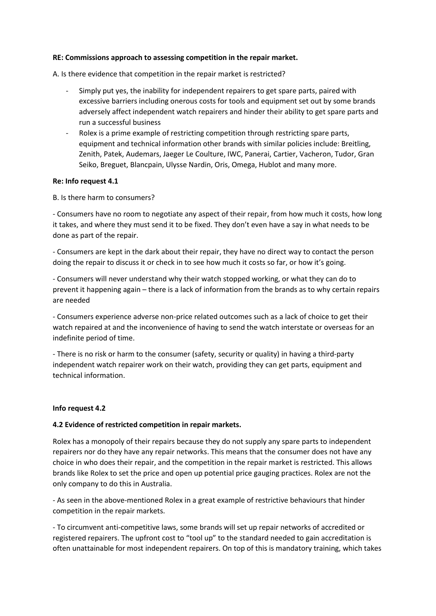#### **RE: Commissions approach to assessing competition in the repair market.**

A. Is there evidence that competition in the repair market is restricted?

- Simply put yes, the inability for independent repairers to get spare parts, paired with excessive barriers including onerous costs for tools and equipment set out by some brands adversely affect independent watch repairers and hinder their ability to get spare parts and run a successful business
- Rolex is a prime example of restricting competition through restricting spare parts, equipment and technical information other brands with similar policies include: Breitling, Zenith, Patek, Audemars, Jaeger Le Coulture, IWC, Panerai, Cartier, Vacheron, Tudor, Gran Seiko, Breguet, Blancpain, Ulysse Nardin, Oris, Omega, Hublot and many more.

### **Re: Info request 4.1**

B. Is there harm to consumers?

- Consumers have no room to negotiate any aspect of their repair, from how much it costs, how long it takes, and where they must send it to be fixed. They don't even have a say in what needs to be done as part of the repair.

- Consumers are kept in the dark about their repair, they have no direct way to contact the person doing the repair to discuss it or check in to see how much it costs so far, or how it's going.

- Consumers will never understand why their watch stopped working, or what they can do to prevent it happening again – there is a lack of information from the brands as to why certain repairs are needed

- Consumers experience adverse non-price related outcomes such as a lack of choice to get their watch repaired at and the inconvenience of having to send the watch interstate or overseas for an indefinite period of time.

- There is no risk or harm to the consumer (safety, security or quality) in having a third-party independent watch repairer work on their watch, providing they can get parts, equipment and technical information.

#### **Info request 4.2**

# **4.2 Evidence of restricted competition in repair markets.**

Rolex has a monopoly of their repairs because they do not supply any spare parts to independent repairers nor do they have any repair networks. This means that the consumer does not have any choice in who does their repair, and the competition in the repair market is restricted. This allows brands like Rolex to set the price and open up potential price gauging practices. Rolex are not the only company to do this in Australia.

- As seen in the above-mentioned Rolex in a great example of restrictive behaviours that hinder competition in the repair markets.

- To circumvent anti-competitive laws, some brands will set up repair networks of accredited or registered repairers. The upfront cost to "tool up" to the standard needed to gain accreditation is often unattainable for most independent repairers. On top of this is mandatory training, which takes